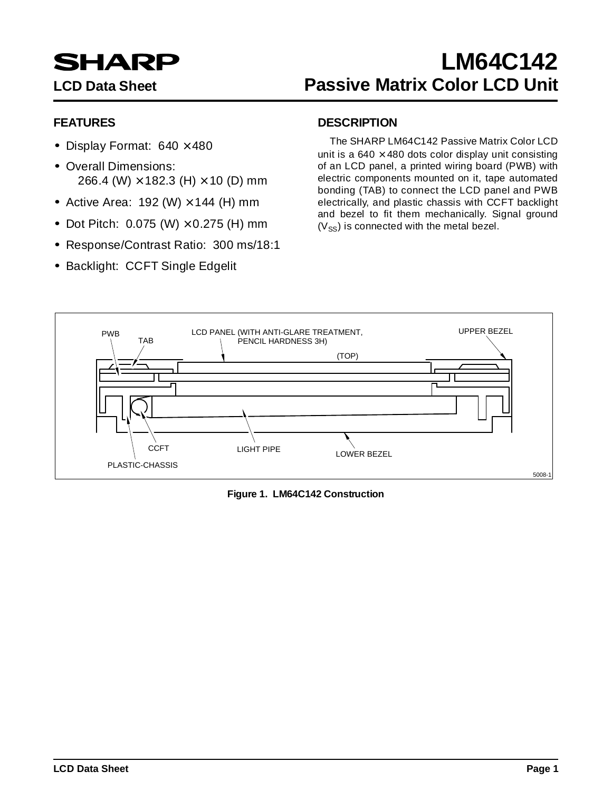# **SHARP**

## **LM64C142 LCD Data Sheet Passive Matrix Color LCD Unit**

#### **FEATURES**

- Display Format:  $640 \times 480$
- Overall Dimensions: 266.4 (W)  $\times$  182.3 (H)  $\times$  10 (D) mm
- Active Area: 192 (W)  $\times$  144 (H) mm
- Dot Pitch:  $0.075$  (W)  $\times$  0.275 (H) mm
- Response/Contrast Ratio: 300 ms/18:1
- Backlight: CCFT Single Edgelit

#### **DESCRIPTION**

The SHARP LM64C142 Passive Matrix Color LCD unit is a  $640 \times 480$  dots color display unit consisting of an LCD panel, a printed wiring board (PWB) with electric components mounted on it, tape automated bonding (TAB) to connect the LCD panel and PWB electrically, and plastic chassis with CCFT backlight and bezel to fit them mechanically. Signal ground  $(V_{SS})$  is connected with the metal bezel.



**Figure 1. LM64C142 Construction**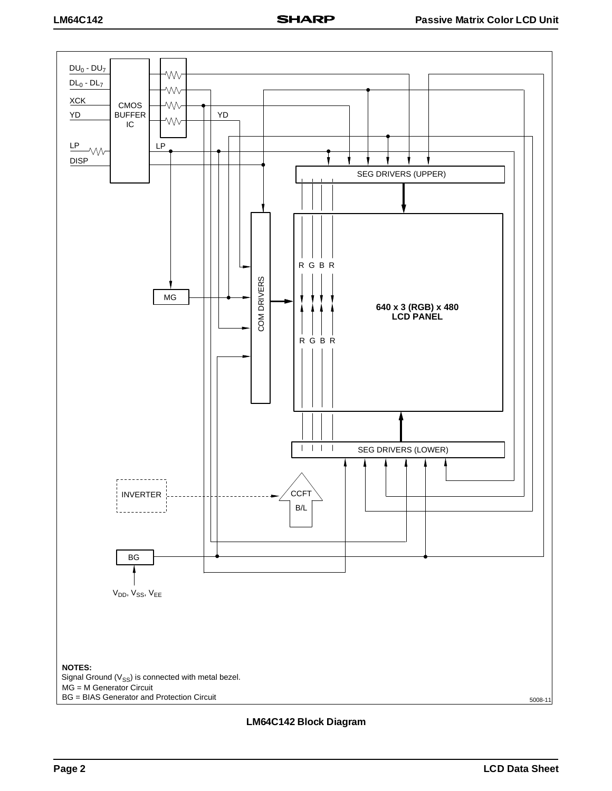

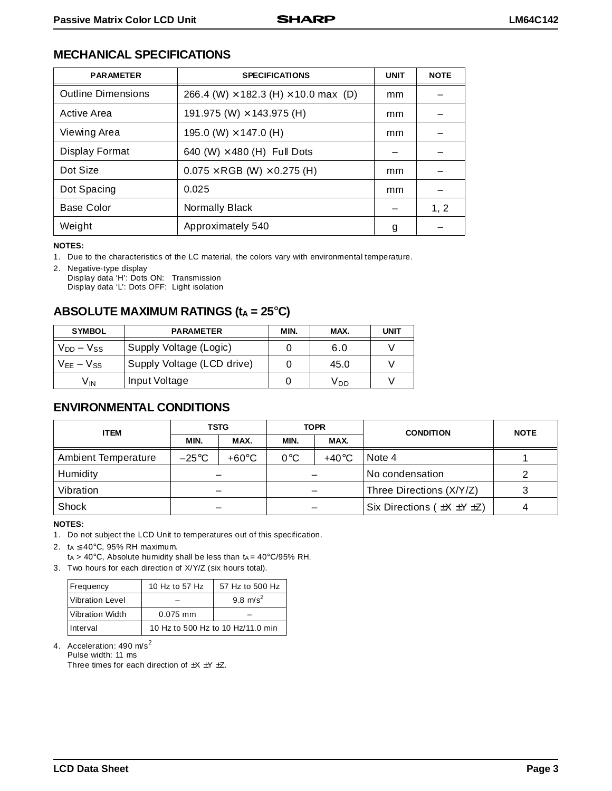#### **MECHANICAL SPECIFICATIONS**

| <b>PARAMETER</b>          | <b>SPECIFICATIONS</b>                              | <b>UNIT</b> | <b>NOTE</b> |
|---------------------------|----------------------------------------------------|-------------|-------------|
| <b>Outline Dimensions</b> | 266.4 (W) $\times$ 182.3 (H) $\times$ 10.0 max (D) | mm          |             |
| Active Area               | 191.975 (W) $\times$ 143.975 (H)                   | mm          |             |
| Viewing Area              | 195.0 (W) $\times$ 147.0 (H)                       | mm          |             |
| <b>Display Format</b>     | 640 (W) $\times$ 480 (H) Full Dots                 |             |             |
| Dot Size                  | $0.075 \times \text{RGB}$ (W) $\times$ 0.275 (H)   | mm          |             |
| Dot Spacing               | 0.025                                              | mm          |             |
| <b>Base Color</b>         | <b>Normally Black</b>                              |             | 1, 2        |
| Weight                    | Approximately 540                                  | g           |             |

**NOTES:**

1. Due to the characteristics of the LC material, the colors vary with environmental temperature.

2. Negative-type display Display data 'H': Dots ON: Transmission Display data 'L': Dots OFF: Light isolation

#### ABSOLUTE MAXIMUM RATINGS (t<sub>A</sub> = 25°C)

| <b>SYMBOL</b>     | <b>PARAMETER</b>           | MIN. | MAX. | <b>UNIT</b> |
|-------------------|----------------------------|------|------|-------------|
| $V_{DD} - V_{SS}$ | Supply Voltage (Logic)     |      | 6.0  |             |
| $V_{FF} - V_{SS}$ | Supply Voltage (LCD drive) |      | 45.0 |             |
| V <sub>IN</sub>   | Input Voltage              |      | Vnn  |             |

#### **ENVIRONMENTAL CONDITIONS**

| <b>ITEM</b>         | <b>TSTG</b>     |                 | <b>TOPR</b>            |      | <b>CONDITION</b>         | <b>NOTE</b> |                                        |  |
|---------------------|-----------------|-----------------|------------------------|------|--------------------------|-------------|----------------------------------------|--|
|                     | MIN.            | MAX.            | MIN.                   | MAX. |                          |             |                                        |  |
| Ambient Temperature | $-25^{\circ}$ C | $+60^{\circ}$ C | $0^{\circ}$ C<br>+40°C |      | Note 4                   |             |                                        |  |
| Humidity            |                 |                 |                        |      | No condensation          |             |                                        |  |
| Vibration           |                 |                 |                        |      | Three Directions (X/Y/Z) |             |                                        |  |
| Shock               |                 |                 |                        |      |                          |             | Six Directions ( $\pm X \pm Y \pm Z$ ) |  |

**NOTES:**

1. Do not subject the LCD Unit to temperatures out of this specification.

2.  $t_A \leq 40^{\circ}$ C, 95% RH maximum.

 $ta > 40^{\circ}$ C, Absolute humidity shall be less than  $ta = 40^{\circ}$ C/95% RH.

3. Two hours for each direction of X/Y/Z (six hours total).

| Frequency       | 10 Hz to 57 Hz                    | 57 Hz to 500 Hz |  |  |
|-----------------|-----------------------------------|-----------------|--|--|
| Vibration Level |                                   | 9.8 $m/s^2$     |  |  |
| Vibration Width | $0.075$ mm                        |                 |  |  |
| Interval        | 10 Hz to 500 Hz to 10 Hz/11.0 min |                 |  |  |

4. Acceleration: 490 m/s<sup>2</sup> Pulse width: 11 ms

Three times for each direction of  $\pm X \pm Y \pm Z$ .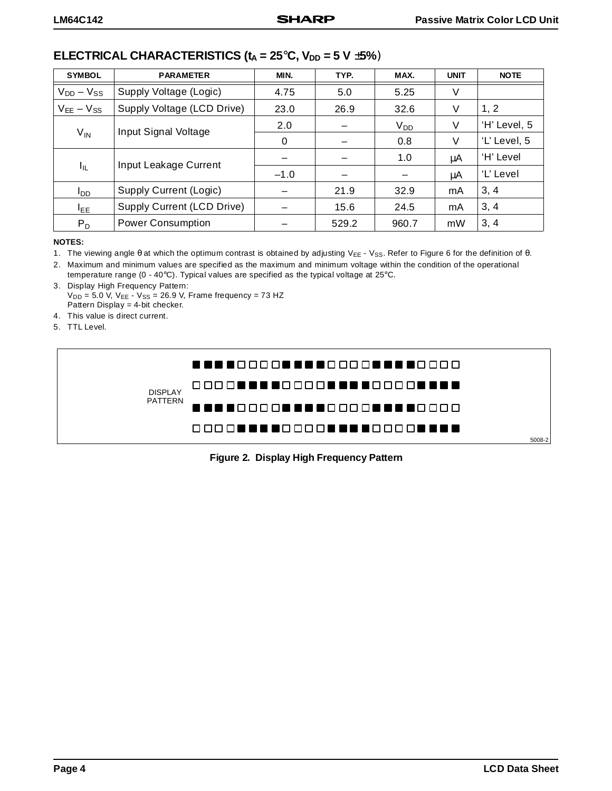#### **ELECTRICAL CHARACTERISTICS (** $t_A = 25^\circ$ **C,**  $V_{DD} = 5$  **V**  $\pm$ **5%)**

| <b>SYMBOL</b>     | <b>PARAMETER</b>           | MIN.   | TYP.  | MAX.     | <b>UNIT</b> | <b>NOTE</b>  |
|-------------------|----------------------------|--------|-------|----------|-------------|--------------|
| $V_{DD} - V_{SS}$ | Supply Voltage (Logic)     | 4.75   | 5.0   | 5.25     | V           |              |
| $V_{EE} - V_{SS}$ | Supply Voltage (LCD Drive) | 23.0   | 26.9  | 32.6     | V           | 1, 2         |
|                   | Input Signal Voltage       | 2.0    |       | $V_{DD}$ | V           | 'H' Level, 5 |
| $V_{IN}$          |                            | 0      |       | 0.8      | V           | 'L' Level, 5 |
| $I_{IL}$          | Input Leakage Current      |        |       | 1.0      | μA          | 'H' Level    |
|                   |                            | $-1.0$ |       |          | μA          | 'L' Level    |
| סםי               | Supply Current (Logic)     |        | 21.9  | 32.9     | mA          | 3, 4         |
| I <sub>EE</sub>   | Supply Current (LCD Drive) |        | 15.6  | 24.5     | mA          | 3, 4         |
| $P_D$             | <b>Power Consumption</b>   |        | 529.2 | 960.7    | mW          | 3, 4         |

#### **NOTES:**

1. The viewing angle θ at which the optimum contrast is obtained by adjusting V<sub>EE</sub> - V<sub>SS</sub>. Refer to Figure 6 for the definition of θ.

2. Maximum and minimum values are specified as the maximum and minimum voltage within the condition of the operational temperature range (0 - 40°C). Typical values are specified as the typical voltage at 25°C.

3. Display High Frequency Pattern:  $V_{DD} = 5.0 \text{ V}$ ,  $V_{EE} - V_{SS} = 26.9 \text{ V}$ , Frame frequency = 73 HZ Pattern Display = 4-bit checker.

4. This value is direct current.

5. TTL Level.



**Figure 2. Display High Frequency Pattern**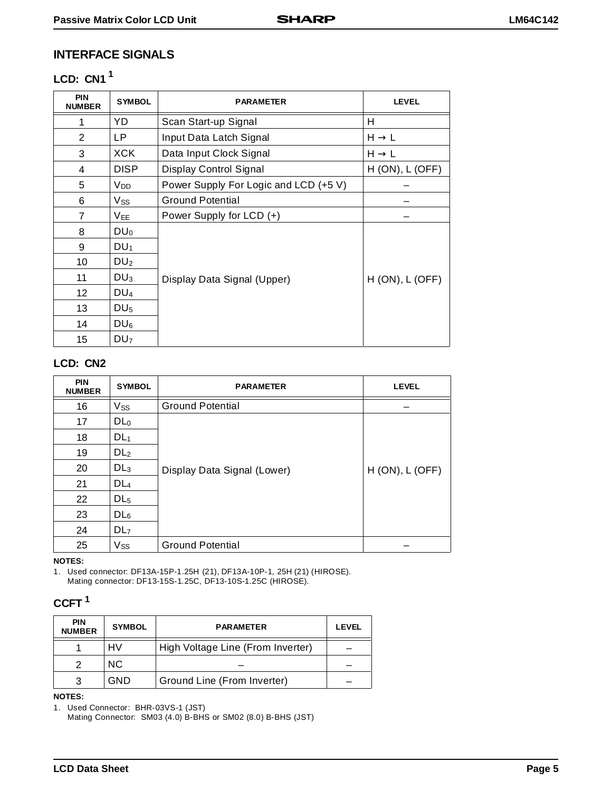#### **INTERFACE SIGNALS**

#### **LCD: CN1 1**

| <b>PIN</b><br><b>NUMBER</b> | <b>SYMBOL</b>          | <b>PARAMETER</b>                      | <b>LEVEL</b>         |
|-----------------------------|------------------------|---------------------------------------|----------------------|
|                             | YD                     | Scan Start-up Signal                  | Н                    |
| 2                           | LP.                    | Input Data Latch Signal               | $H \rightarrow L$    |
| 3                           | <b>XCK</b>             | Data Input Clock Signal               | $H \rightarrow L$    |
| 4                           | <b>DISP</b>            | Display Control Signal                | $H (ON)$ , L (OFF)   |
| 5                           | <b>V</b> <sub>DD</sub> | Power Supply For Logic and LCD (+5 V) |                      |
| 6                           | $V_{SS}$               | <b>Ground Potential</b>               |                      |
| $\overline{7}$              | $V_{EE}$               | Power Supply for LCD (+)              |                      |
| 8                           | $DU_0$                 |                                       |                      |
| 9                           | DU <sub>1</sub>        |                                       |                      |
| 10                          | DU <sub>2</sub>        |                                       |                      |
| 11                          | DU <sub>3</sub>        | Display Data Signal (Upper)           | $H (ON)$ , $L (OFF)$ |
| 12                          | DU <sub>4</sub>        |                                       |                      |
| 13                          | DU <sub>5</sub>        |                                       |                      |
| 14                          | $DU_6$                 |                                       |                      |
| 15                          | DU <sub>7</sub>        |                                       |                      |

#### **LCD: CN2**

| <b>PIN</b><br><b>NUMBER</b> | <b>SYMBOL</b>   | <b>PARAMETER</b>            | <b>LEVEL</b>       |
|-----------------------------|-----------------|-----------------------------|--------------------|
| 16                          | $V_{SS}$        | <b>Ground Potential</b>     |                    |
| 17                          | DL <sub>0</sub> |                             |                    |
| 18                          | DL <sub>1</sub> |                             |                    |
| 19                          | DL <sub>2</sub> |                             |                    |
| 20                          | DL <sub>3</sub> | Display Data Signal (Lower) | $H (ON)$ , L (OFF) |
| 21                          | DL <sub>4</sub> |                             |                    |
| 22                          | DL <sub>5</sub> |                             |                    |
| 23                          | DL <sub>6</sub> |                             |                    |
| 24                          | DL <sub>7</sub> |                             |                    |
| 25                          | Vss             | <b>Ground Potential</b>     |                    |

**NOTES:**

1. Used connector: DF13A-15P-1.25H (21), DF13A-10P-1, 25H (21) (HIROSE). Mating connector: DF13-15S-1.25C, DF13-10S-1.25C (HIROSE).

#### **CCFT 1**

| <b>PIN</b><br><b>NUMBER</b> | <b>SYMBOL</b> | <b>PARAMETER</b>                  | <b>LEVEL</b> |
|-----------------------------|---------------|-----------------------------------|--------------|
|                             | HV            | High Voltage Line (From Inverter) |              |
| 2                           | NC.           |                                   |              |
|                             | GND           | Ground Line (From Inverter)       |              |

#### **NOTES:**

1. Used Connector: BHR-03VS-1 (JST)

Mating Connector: SM03 (4.0) B-BHS or SM02 (8.0) B-BHS (JST)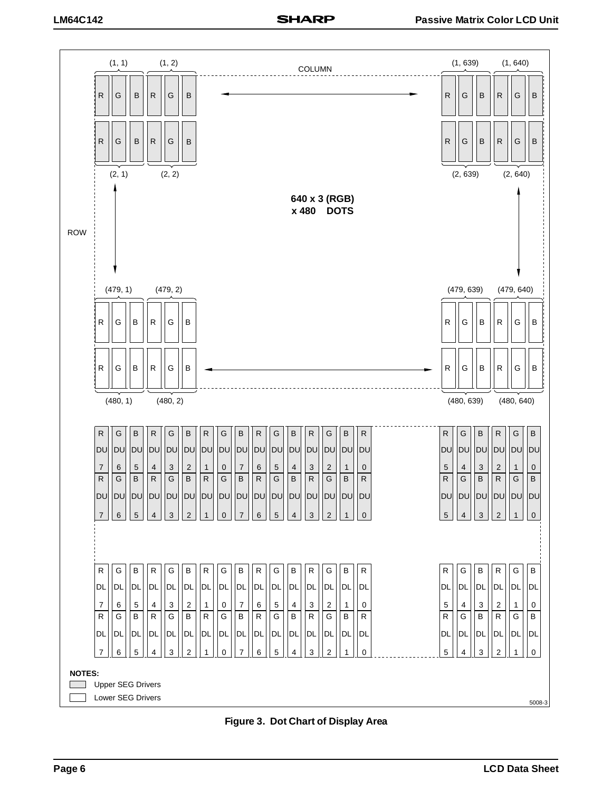

**Figure 3. Dot Chart of Display Area**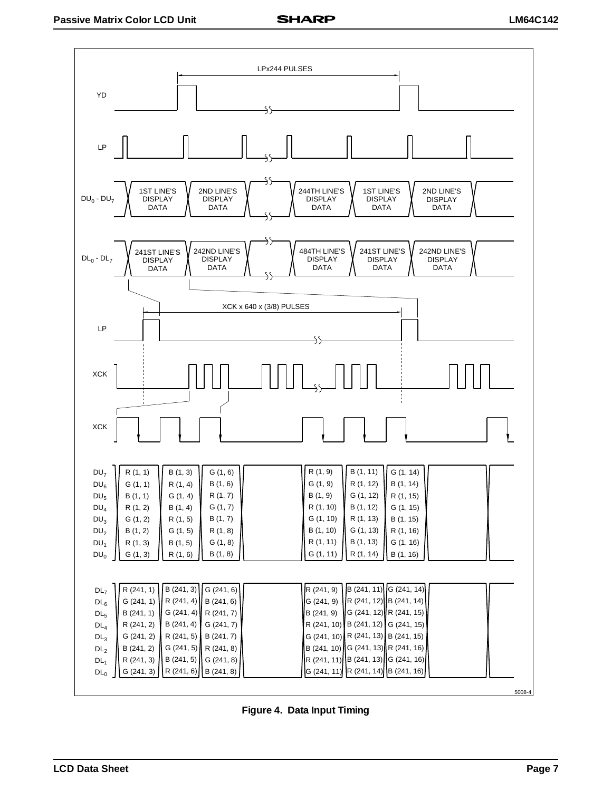

**Figure 4. Data Input Timing**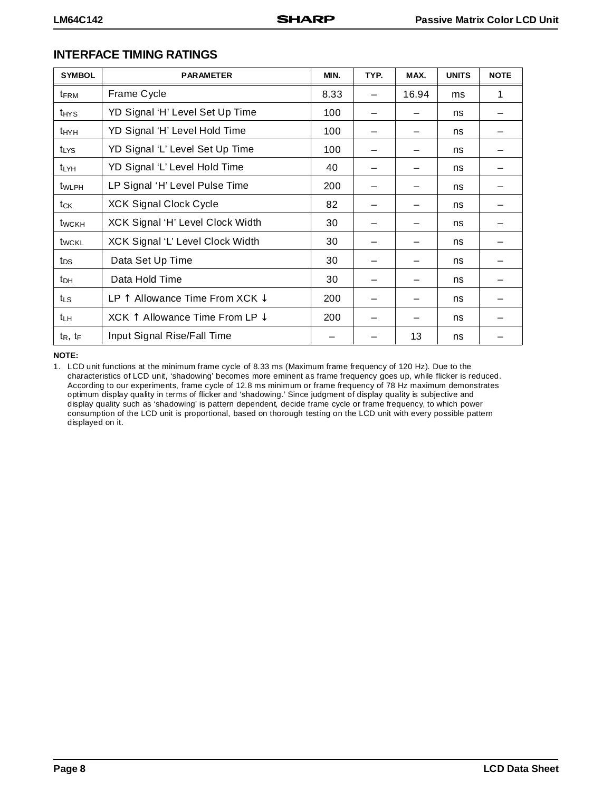| <b>SYMBOL</b>           | <b>PARAMETER</b>                                   | MIN. | TYP. | MAX.  | <b>UNITS</b> | <b>NOTE</b> |
|-------------------------|----------------------------------------------------|------|------|-------|--------------|-------------|
| <b>t</b> <sub>FRM</sub> | Frame Cycle                                        | 8.33 |      | 16.94 | ms           | 1           |
| t <sub>HYS</sub>        | YD Signal 'H' Level Set Up Time                    | 100  |      |       | ns           |             |
| t <sub>HYH</sub>        | YD Signal 'H' Level Hold Time                      | 100  |      |       | ns           |             |
| <b>t</b> LYS            | YD Signal 'L' Level Set Up Time                    | 100  |      |       | ns           |             |
| t <sub>LYH</sub>        | YD Signal 'L' Level Hold Time                      | 40   |      |       | ns           |             |
| t <sub>WLPH</sub>       | LP Signal 'H' Level Pulse Time                     | 200  |      |       | ns           |             |
| tck                     | <b>XCK Signal Clock Cycle</b>                      | 82   |      |       | ns           |             |
| t <sub>wckH</sub>       | XCK Signal 'H' Level Clock Width                   | 30   |      |       | ns           |             |
| t <sub>wckL</sub>       | XCK Signal 'L' Level Clock Width                   | 30   |      |       | ns           |             |
| t <sub>DS</sub>         | Data Set Up Time                                   | 30   |      |       | ns           |             |
| t <sub>DH</sub>         | Data Hold Time                                     | 30   |      |       | ns           |             |
| t∟s                     | LP $\uparrow$ Allowance Time From XCK $\downarrow$ | 200  |      |       | ns           |             |
| t <sub>LH</sub>         | XCK $\uparrow$ Allowance Time From LP $\downarrow$ | 200  |      |       | ns           |             |
| $t_R$ , $t_F$           | Input Signal Rise/Fall Time                        |      |      | 13    | ns           |             |

#### **INTERFACE TIMING RATINGS**

**NOTE:** 

1. LCD unit functions at the minimum frame cycle of 8.33 ms (Maximum frame frequency of 120 Hz). Due to the characteristics of LCD unit, 'shadowing' becomes more eminent as frame frequency goes up, while flicker is reduced. According to our experiments, frame cycle of 12.8 ms minimum or frame frequency of 78 Hz maximum demonstrates optimum display quality in terms of flicker and 'shadowing.' Since judgment of display quality is subjective and display quality such as 'shadowing' is pattern dependent, decide frame cycle or frame frequency, to which power consumption of the LCD unit is proportional, based on thorough testing on the LCD unit with every possible pattern displayed on it.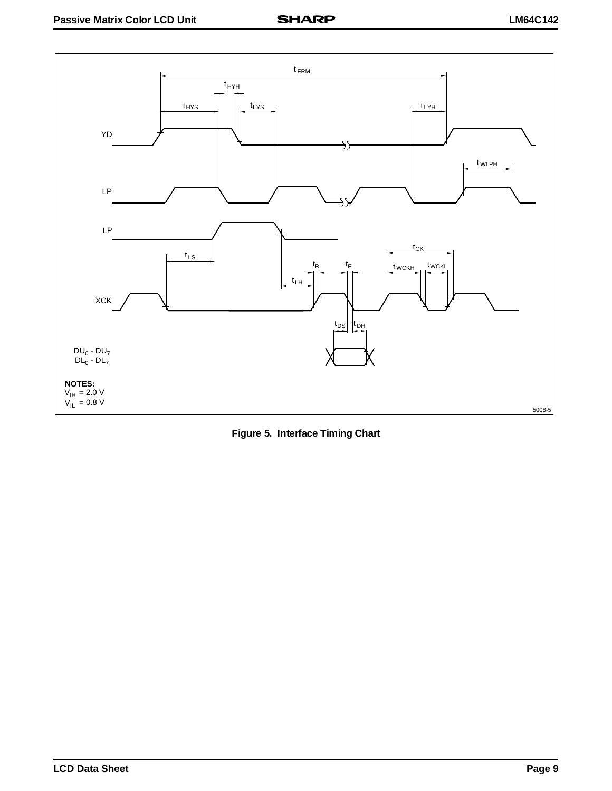

**Figure 5. Interface Timing Chart**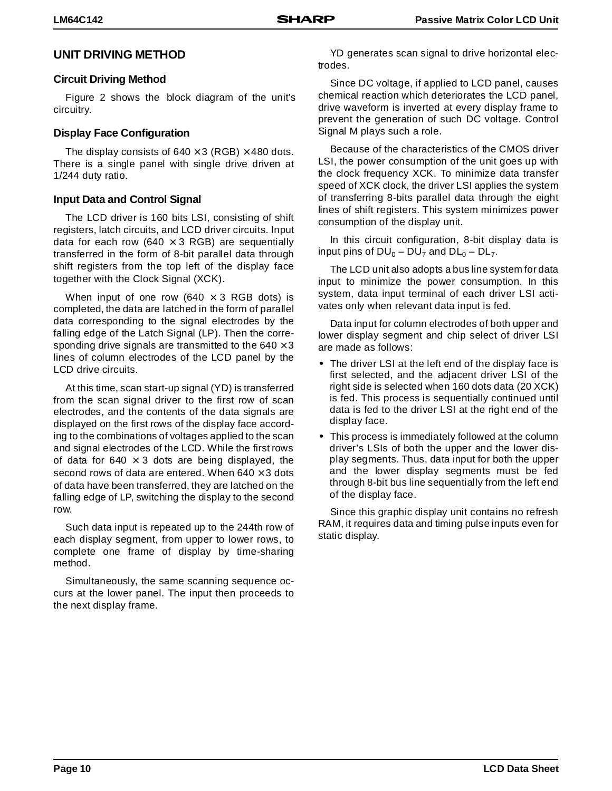#### **UNIT DRIVING METHOD**

#### **Circuit Driving Method**

Figure 2 shows the block diagram of the unit's circuitry.

#### **Display Face Configuration**

The display consists of  $640 \times 3$  (RGB)  $\times$  480 dots. There is a single panel with single drive driven at 1/244 duty ratio.

#### **Input Data and Control Signal**

The LCD driver is 160 bits LSI, consisting of shift registers, latch circuits, and LCD driver circuits. Input data for each row (640  $\times$  3 RGB) are sequentially transferred in the form of 8-bit parallel data through shift registers from the top left of the display face together with the Clock Signal (XCK).

When input of one row (640  $\times$  3 RGB dots) is completed, the data are latched in the form of parallel data corresponding to the signal electrodes by the falling edge of the Latch Signal (LP). Then the corresponding drive signals are transmitted to the  $640 \times 3$ lines of column electrodes of the LCD panel by the LCD drive circuits.

At this time, scan start-up signal (YD) is transferred from the scan signal driver to the first row of scan electrodes, and the contents of the data signals are displayed on the first rows of the display face according to the combinations of voltages applied to the scan and signal electrodes of the LCD. While the first rows of data for 640  $\times$  3 dots are being displayed, the second rows of data are entered. When  $640 \times 3$  dots of data have been transferred, they are latched on the falling edge of LP, switching the display to the second row.

Such data input is repeated up to the 244th row of each display segment, from upper to lower rows, to complete one frame of display by time-sharing method.

Simultaneously, the same scanning sequence occurs at the lower panel. The input then proceeds to the next display frame.

YD generates scan signal to drive horizontal electrodes.

Since DC voltage, if applied to LCD panel, causes chemical reaction which deteriorates the LCD panel, drive waveform is inverted at every display frame to prevent the generation of such DC voltage. Control Signal M plays such a role.

Because of the characteristics of the CMOS driver LSI, the power consumption of the unit goes up with the clock frequency XCK. To minimize data transfer speed of XCK clock, the driver LSI applies the system of transferring 8-bits parallel data through the eight lines of shift registers. This system minimizes power consumption of the display unit.

In this circuit configuration, 8-bit display data is input pins of  $DU_0 - DU_7$  and  $DL_0 - DL_7$ .

The LCD unit also adopts a bus line system for data input to minimize the power consumption. In this system, data input terminal of each driver LSI activates only when relevant data input is fed.

Data input for column electrodes of both upper and lower display segment and chip select of driver LSI are made as follows:

- The driver LSI at the left end of the display face is first selected, and the adjacent driver LSI of the right side is selected when 160 dots data (20 XCK) is fed. This process is sequentially continued until data is fed to the driver LSI at the right end of the display face.
- This process is immediately followed at the column driver's LSIs of both the upper and the lower display segments. Thus, data input for both the upper and the lower display segments must be fed through 8-bit bus line sequentially from the left end of the display face.

Since this graphic display unit contains no refresh RAM, it requires data and timing pulse inputs even for static display.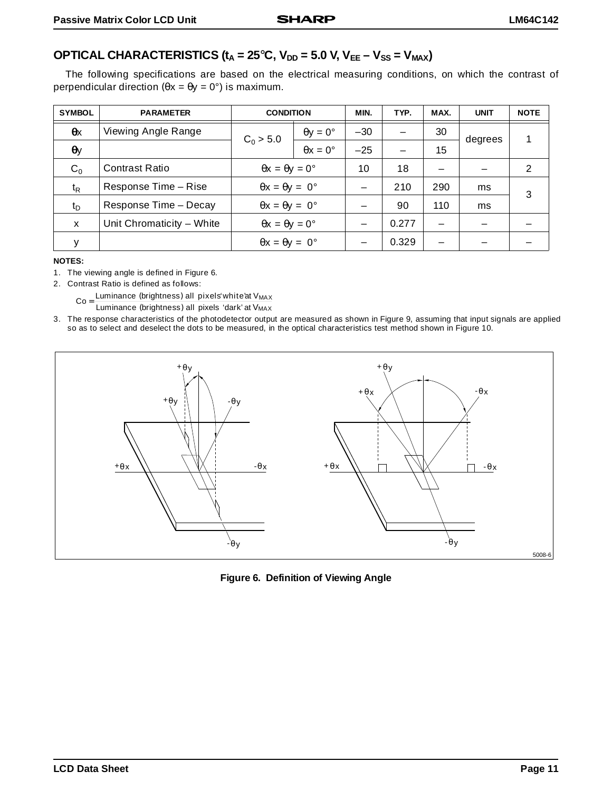#### **OPTICAL CHARACTERISTICS (** $t_A = 25^\circ$ **C,**  $V_{DD} = 5.0$  **V,**  $V_{EE} - V_{SS} = V_{MAX}$ **)**

The following specifications are based on the electrical measuring conditions, on which the contrast of perpendicular direction ( $θx = θy = 0°$ ) is maximum.

| <b>SYMBOL</b>    | <b>PARAMETER</b>          | <b>CONDITION</b>                  |                        | MIN.  | TYP.  | MAX. | <b>UNIT</b> | <b>NOTE</b>   |
|------------------|---------------------------|-----------------------------------|------------------------|-------|-------|------|-------------|---------------|
| $\theta$ x       | Viewing Angle Range       | $C_0 > 5.0$                       | $\theta y = 0^{\circ}$ | $-30$ |       | 30   | degrees     |               |
| $\theta$ y       |                           |                                   | $\theta x = 0^{\circ}$ | $-25$ |       | 15   |             |               |
| $C_0$            | <b>Contrast Ratio</b>     | $\theta x = \theta y = 0^{\circ}$ |                        | 10    | 18    |      |             | $\mathcal{P}$ |
| $t_{\mathsf{R}}$ | Response Time - Rise      | $\theta x = \theta y = 0^{\circ}$ |                        |       | 210   | 290  | ms          | 3             |
| $t_{\rm D}$      | Response Time - Decay     | $\theta x = \theta y = 0^{\circ}$ |                        |       | 90    | 110  | ms          |               |
| X                | Unit Chromaticity - White | $\theta x = \theta y = 0^{\circ}$ |                        |       | 0.277 | -    |             |               |
| у                |                           | $\theta x = \theta y = 0^{\circ}$ |                        |       | 0.329 | -    |             |               |

**NOTES:**

- 1. The viewing angle is defined in Figure 6.
- 2. Contrast Ratio is defined as follows:

 $Co = \frac{Luminance (brightness)$  all pixels white'at V<sub>MAX</sub><br>Co =  $Luminance (brightness)$  all pixels 'dark' at V<sub>MAX</sub>

3. The response characteristics of the photodetector output are measured as shown in Figure 9, assuming that input signals are applied so as to select and deselect the dots to be measured, in the optical characteristics test method shown in Figure 10.



**Figure 6. Definition of Viewing Angle**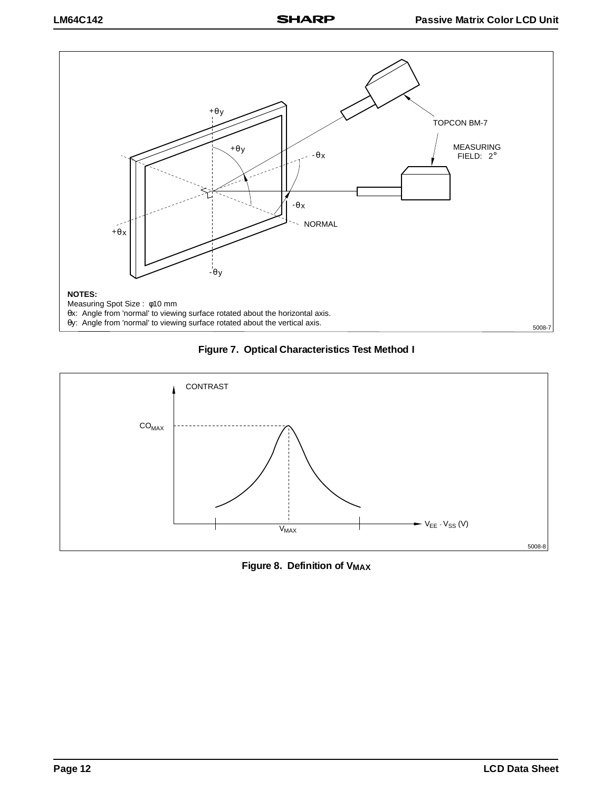





**Figure 8. Definition of V<sub>MAX</sub>**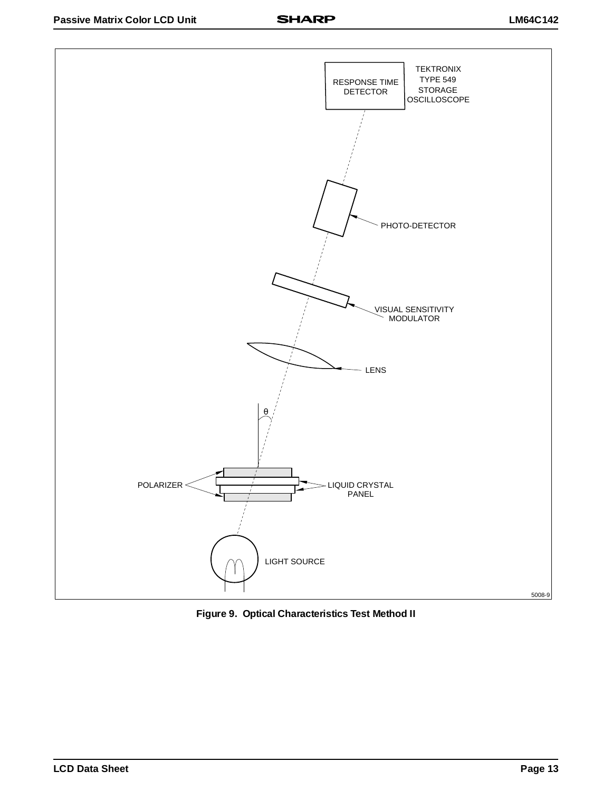

**Figure 9. Optical Characteristics Test Method II**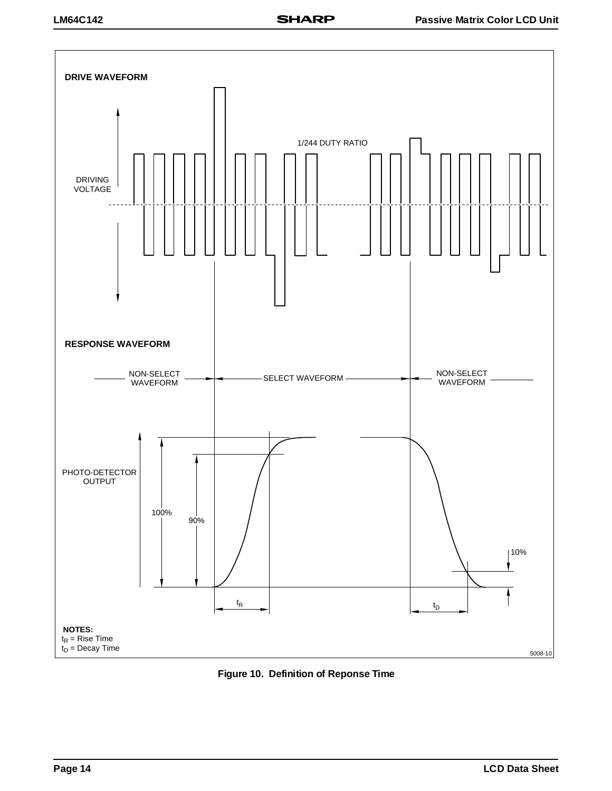

**Figure 10. Definition of Reponse Time**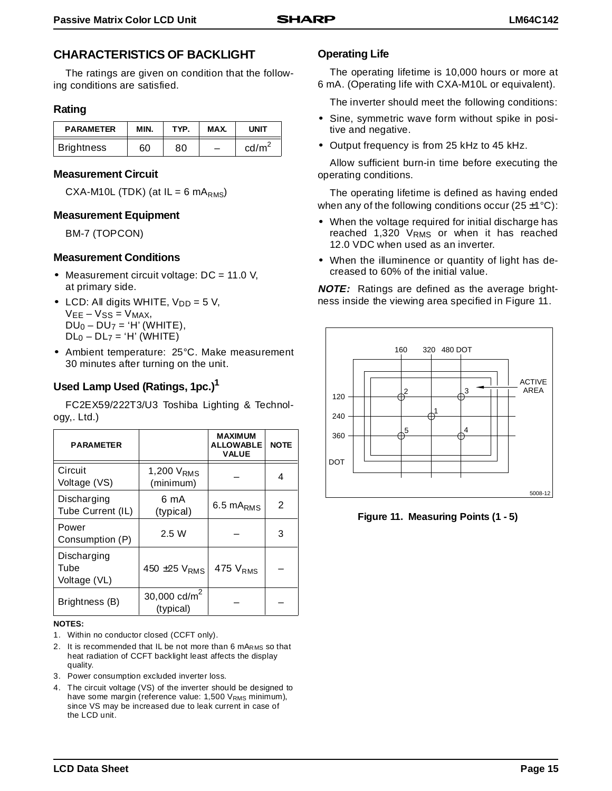#### **CHARACTERISTICS OF BACKLIGHT**

The ratings are given on condition that the following conditions are satisfied.

#### **Rating**

| <b>PARAMETER</b>  | MIN. | TYP. | MAX. | UNIT            |
|-------------------|------|------|------|-----------------|
| <b>Brightness</b> | 60   | 80   |      | $\text{cd/m}^2$ |

#### **Measurement Circuit**

CXA-M10L (TDK) (at  $IL = 6 mA<sub>RMS</sub>$ )

#### **Measurement Equipment**

BM-7 (TOPCON)

#### **Measurement Conditions**

- Measurement circuit voltage: DC = 11.0 V, at primary side.
- LCD: All digits WHITE,  $V_{DD} = 5 V$ ,  $VEE - VSS = VMAX,$  $DU<sub>0</sub> - DU<sub>7</sub> = 'H' (WHITE),$  $DL<sub>0</sub> - DL<sub>7</sub> = 'H' (WHITE)$
- Ambient temperature: 25°C. Make measurement 30 minutes after turning on the unit.

#### **Used Lamp Used (Ratings, 1pc.)1**

FC2EX59/222T3/U3 Toshiba Lighting & Technology,. Ltd.)

| <b>PARAMETER</b>                    |                                     | <b>MAXIMUM</b><br><b>ALLOWABLE</b><br><b>VALUE</b> | <b>NOTE</b> |
|-------------------------------------|-------------------------------------|----------------------------------------------------|-------------|
| Circuit<br>Voltage (VS)             | 1,200 V <sub>RMS</sub><br>(minimum) |                                                    | 4           |
| Discharging<br>Tube Current (IL)    | 6 mA<br>(typical)                   | $6.5 \text{ mA}_{RMS}$                             | 2           |
| Power<br>Consumption (P)            | 2.5 W                               |                                                    | 3           |
| Discharging<br>Tube<br>Voltage (VL) | 450 $\pm$ 25 $VRMS$                 | 475 $VRMS$                                         |             |
| Brightness (B)                      | 30,000 $cd/m2$<br>(typical)         |                                                    |             |

#### **NOTES:**

- 1. Within no conductor closed (CCFT only).
- 2. It is recommended that IL be not more than 6 mARMS so that heat radiation of CCFT backlight least affects the display quality.
- 3. Power consumption excluded inverter loss.
- 4. The circuit voltage (VS) of the inverter should be designed to have some margin (reference value: 1,500 VRMS minimum), since VS may be increased due to leak current in case of the LCD unit.

#### **Operating Life**

The operating lifetime is 10,000 hours or more at 6 mA. (Operating life with CXA-M10L or equivalent).

The inverter should meet the following conditions:

- Sine, symmetric wave form without spike in positive and negative.
- Output frequency is from 25 kHz to 45 kHz.

Allow sufficient burn-in time before executing the operating conditions.

The operating lifetime is defined as having ended when any of the following conditions occur (25 $\pm$ 1 $\degree$ C):

- When the voltage required for initial discharge has reached 1,320 VRMS or when it has reached 12.0 VDC when used as an inverter.
- When the illuminence or quantity of light has decreased to 60% of the initial value.

**NOTE:** Ratings are defined as the average brightness inside the viewing area specified in Figure 11.



**Figure 11. Measuring Points (1 - 5)**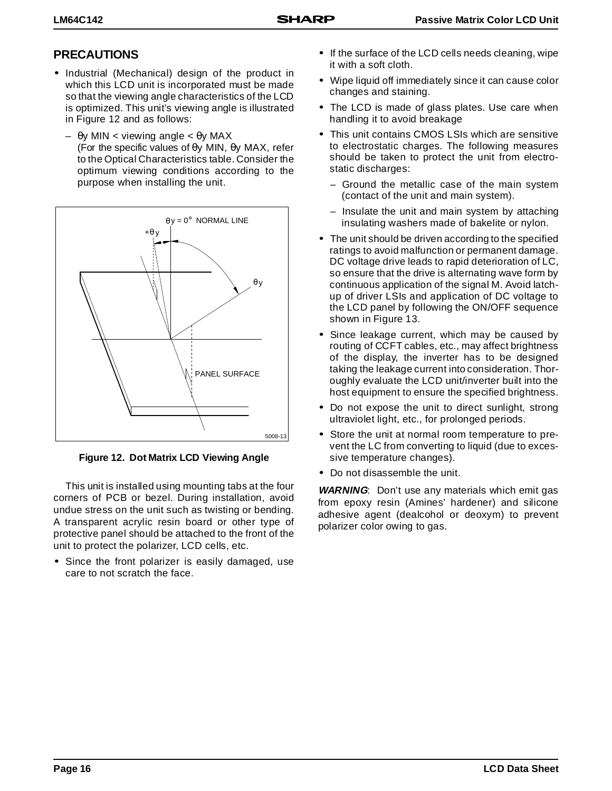### **PRECAUTIONS**

- Industrial (Mechanical) design of the product in which this LCD unit is incorporated must be made so that the viewing angle characteristics of the LCD is optimized. This unit's viewing angle is illustrated in Figure 12 and as follows:
	- θy MIN < viewing angle < θy MAX (For the specific values of θy MIN, θy MAX, refer to the Optical Characteristics table. Consider the optimum viewing conditions according to the purpose when installing the unit.



**Figure 12. Dot Matrix LCD Viewing Angle**

This unit is installed using mounting tabs at the four corners of PCB or bezel. During installation, avoid undue stress on the unit such as twisting or bending. A transparent acrylic resin board or other type of protective panel should be attached to the front of the unit to protect the polarizer, LCD cells, etc.

• Since the front polarizer is easily damaged, use care to not scratch the face.

- If the surface of the LCD cells needs cleaning, wipe it with a soft cloth.
- Wipe liquid off immediately since it can cause color changes and staining.
- The LCD is made of glass plates. Use care when handling it to avoid breakage
- This unit contains CMOS LSIs which are sensitive to electrostatic charges. The following measures should be taken to protect the unit from electrostatic discharges:
	- Ground the metallic case of the main system (contact of the unit and main system).
	- Insulate the unit and main system by attaching insulating washers made of bakelite or nylon.
- The unit should be driven according to the specified ratings to avoid malfunction or permanent damage. DC voltage drive leads to rapid deterioration of LC, so ensure that the drive is alternating wave form by continuous application of the signal M. Avoid latchup of driver LSIs and application of DC voltage to the LCD panel by following the ON/OFF sequence shown in Figure 13.
- Since leakage current, which may be caused by routing of CCFT cables, etc., may affect brightness of the display, the inverter has to be designed taking the leakage current into consideration. Thoroughly evaluate the LCD unit/inverter built into the host equipment to ensure the specified brightness.
- Do not expose the unit to direct sunlight, strong ultraviolet light, etc., for prolonged periods.
- Store the unit at normal room temperature to prevent the LC from converting to liquid (due to excessive temperature changes).
- Do not disassemble the unit.

**WARNING**: Don't use any materials which emit gas from epoxy resin (Amines' hardener) and silicone adhesive agent (dealcohol or deoxym) to prevent polarizer color owing to gas.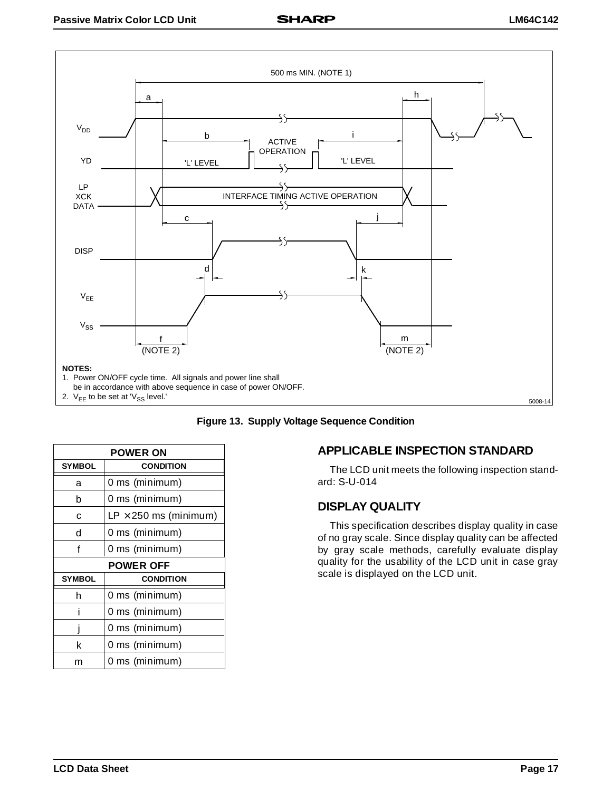



| <b>POWER ON</b>  |                              |
|------------------|------------------------------|
| <b>SYMBOL</b>    | <b>CONDITION</b>             |
| a                | 0 ms (minimum)               |
| b                | 0 ms (minimum)               |
| C                | $LP \times 250$ ms (minimum) |
| d                | 0 ms (minimum)               |
| f                | 0 ms (minimum)               |
| <b>POWER OFF</b> |                              |
| <b>SYMBOL</b>    | <b>CONDITION</b>             |
| h                | 0 ms (minimum)               |
| i                | 0 ms (minimum)               |
|                  | 0 ms (minimum)               |
| k                | 0 ms (minimum)               |
| m                | 0 ms (minimum)               |

#### **APPLICABLE INSPECTION STANDARD**

The LCD unit meets the following inspection standard: S-U-014

#### **DISPLAY QUALITY**

This specification describes display quality in case of no gray scale. Since display quality can be affected by gray scale methods, carefully evaluate display quality for the usability of the LCD unit in case gray scale is displayed on the LCD unit.